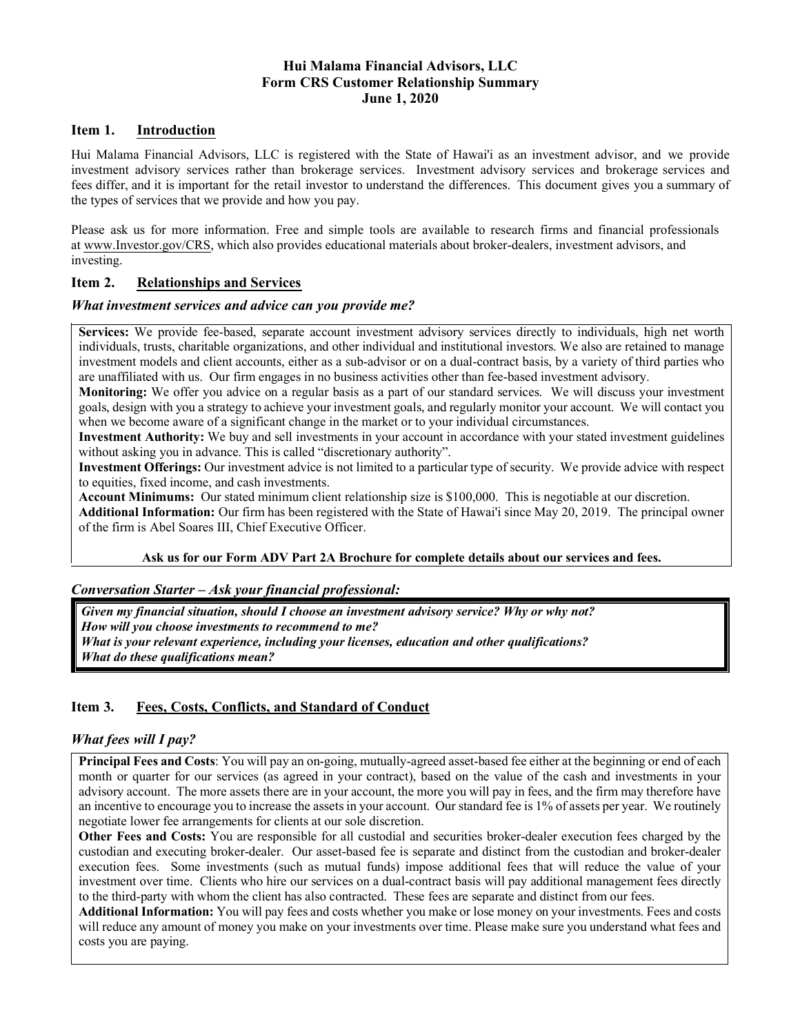## **Hui Malama Financial Advisors, LLC Form CRS Customer Relationship Summary June 1, 2020**

### **Item 1. Introduction**

Hui Malama Financial Advisors, LLC is registered with the State of Hawai'i as an investment advisor, and we provide investment advisory services rather than brokerage services. Investment advisory services and brokerage services and fees differ, and it is important for the retail investor to understand the differences. This document gives you a summary of the types of services that we provide and how you pay.

Please ask us for more information. Free and simple tools are available to research firms and financial professionals at www.Investor.gov/CRS, which also provides educational materials about broker-dealers, investment advisors, and investing.

# **Item 2. Relationships and Services**

### *What investment services and advice can you provide me?*

**Services:** We provide fee-based, separate account investment advisory services directly to individuals, high net worth individuals, trusts, charitable organizations, and other individual and institutional investors. We also are retained to manage investment models and client accounts, either as a sub-advisor or on a dual-contract basis, by a variety of third parties who are unaffiliated with us. Our firm engages in no business activities other than fee-based investment advisory.

**Monitoring:** We offer you advice on a regular basis as a part of our standard services. We will discuss your investment goals, design with you a strategy to achieve your investment goals, and regularly monitor your account. We will contact you when we become aware of a significant change in the market or to your individual circumstances.

**Investment Authority:** We buy and sell investments in your account in accordance with your stated investment guidelines without asking you in advance. This is called "discretionary authority".

**Investment Offerings:** Our investment advice is not limited to a particular type of security. We provide advice with respect to equities, fixed income, and cash investments.

**Account Minimums:** Our stated minimum client relationship size is \$100,000. This is negotiable at our discretion.

**Additional Information:** Our firm has been registered with the State of Hawai'i since May 20, 2019. The principal owner of the firm is Abel Soares III, Chief Executive Officer.

### **Ask us for our Form ADV Part 2A Brochure for complete details about our services and fees.**

### *Conversation Starter – Ask your financial professional:*

*Given my financial situation, should I choose an investment advisory service? Why or why not? How will you choose investments to recommend to me? What is your relevant experience, including your licenses, education and other qualifications? What do these qualifications mean?*

# **Item 3. Fees, Costs, Conflicts, and Standard of Conduct**

### *What fees will I pay?*

**Principal Fees and Costs**: You will pay an on-going, mutually-agreed asset-based fee either at the beginning or end of each month or quarter for our services (as agreed in your contract), based on the value of the cash and investments in your advisory account. The more assets there are in your account, the more you will pay in fees, and the firm may therefore have an incentive to encourage you to increase the assets in your account. Our standard fee is 1% of assets per year. We routinely negotiate lower fee arrangements for clients at our sole discretion.

**Other Fees and Costs:** You are responsible for all custodial and securities broker-dealer execution fees charged by the custodian and executing broker-dealer. Our asset-based fee is separate and distinct from the custodian and broker-dealer execution fees. Some investments (such as mutual funds) impose additional fees that will reduce the value of your investment over time. Clients who hire our services on a dual-contract basis will pay additional management fees directly to the third-party with whom the client has also contracted. These fees are separate and distinct from our fees.

**Additional Information:** You will pay fees and costs whether you make or lose money on your investments. Fees and costs will reduce any amount of money you make on your investments over time. Please make sure you understand what fees and costs you are paying.